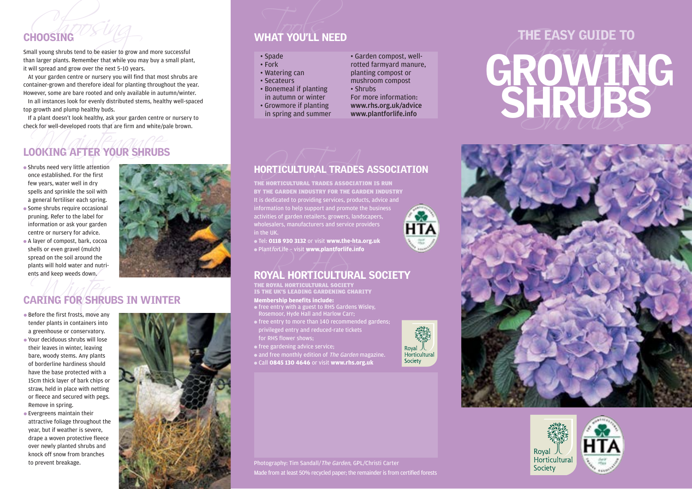**FOOSING**<br>AND YOU'LL NEED<br>All young shrubs tend to be easier to grow and more successful<br>In larger plants. Remember that while you may buy a small plant,

# Check for well-developed roots that are firm and white/pa<br> **LOOKING AFTER YOUR SHRUBS**<br>
• Shrubs need very little attention LOOKING AFTER YOUR SHRUBS

- once established. For the first few years, water well in dry spells and sprinkle the soil with a general fertiliser each spring. • Some shrubs require occasional pruning. Refer to the label for information or ask your garden
- centre or nursery for advice. ● A layer of compost, bark, cocoa shells or even gravel (mulch) spread on the soil around the plants will hold water and nutrients and keep weeds down.



## nts and keep weeds down, CARING FOR SHRUBS IN WINTER

- Before the first frosts, move any tender plants in containers into a greenhouse or conservatory. ● Your deciduous shrubs will lose their leaves in winter, leaving bare, woody stems. Any plants of borderline hardiness should have the base protected with a 15cm thick layer of bark chips or straw, held in place with netting or fleece and secured with pegs. Remove in spring.
- Evergreens maintain their attractive foliage throughout the year, but if weather is severe, drape a woven protective fleece over newly planted shrubs and knock off snow from branches to prevent breakage.



## CHOOSING WHAT YOU'LL NEED

- 
- 
- 
- 
- 



## HORTICULTURAL TRADES ASSOCIATION

THE HORTICULTURAL TRADES ASSOCIATION IS RUN BY THE GARDEN INDUSTRY FOR THE GARDEN INDUSTRY It is dedicated to providing services, products, advice and information to help support and promote the business activities of garden retailers, growers, landscapers, **HTA** wholesalers, manufacturers and service providers in the UK.

● Tel: **0118 930 3132** or visit **www.the-hta.org.uk** ● PlantforLife – visit **www.plantforlife.info**

# $\bullet$  Plant*for*Life – visit www.plantforlife.info<br>ROYAL HORTICULTURAL SOCIETY

THE ROYAL HORTICULTURAL SOCIETY IS THE UK'S LEADING GARDENING CHARITY

## **Membership benefits include:**

- free entry with a guest to RHS Gardens Wisley, Rosemoor, Hyde Hall and Harlow Carr;
- free entry to more than 140 recommended gardens; privileged entry and reduced-rate tickets
- for RHS flower shows;
- free gardening advice service;
- and free monthly edition of The Garden magazine.
- Call **0845 130 4646** or visit **www.rhs.org.uk**



# CHOOSING<br>
Small young shrubs tend to be easier to grow and more successful<br>
than larger plants. Remember that while you may buy a small plant,<br>
than larger plants. Remember that while you may buy a small plant,<br>
at your gr





Photography: Tim Sandall/The Garden, GPL/Christi Carter

Royal 人<br>Horticultural